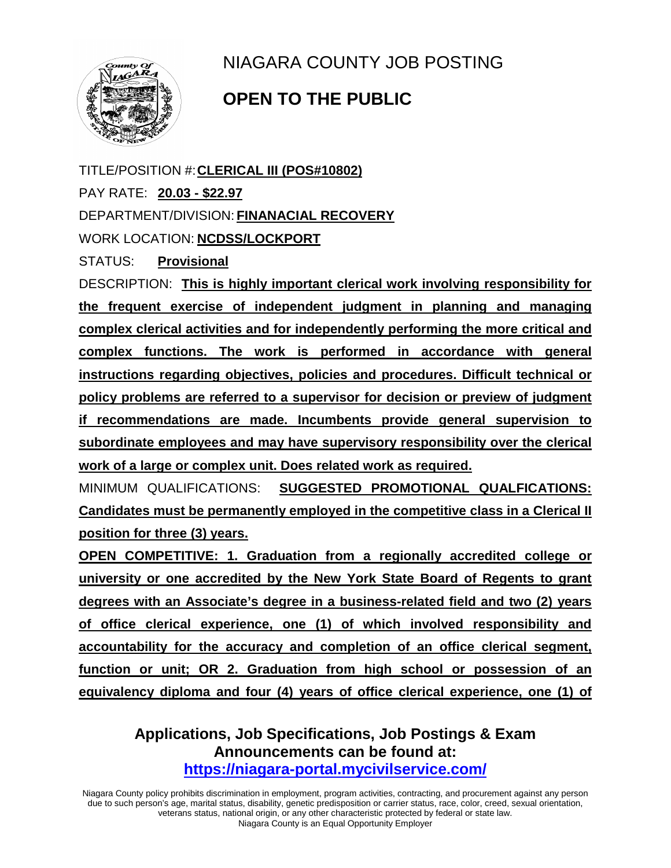

NIAGARA COUNTY JOB POSTING

## **OPEN TO THE PUBLIC**

TITLE/POSITION #:**CLERICAL III (POS#10802)** PAY RATE: **20.03 - \$22.97** DEPARTMENT/DIVISION: **FINANACIAL RECOVERY** WORK LOCATION: **NCDSS/LOCKPORT**

STATUS: **Provisional**

DESCRIPTION: **This is highly important clerical work involving responsibility for the frequent exercise of independent judgment in planning and managing complex clerical activities and for independently performing the more critical and complex functions. The work is performed in accordance with general instructions regarding objectives, policies and procedures. Difficult technical or policy problems are referred to a supervisor for decision or preview of judgment if recommendations are made. Incumbents provide general supervision to subordinate employees and may have supervisory responsibility over the clerical work of a large or complex unit. Does related work as required.**

MINIMUM QUALIFICATIONS: **SUGGESTED PROMOTIONAL QUALFICATIONS: Candidates must be permanently employed in the competitive class in a Clerical II position for three (3) years.** 

**OPEN COMPETITIVE: 1. Graduation from a regionally accredited college or university or one accredited by the New York State Board of Regents to grant degrees with an Associate's degree in a business-related field and two (2) years of office clerical experience, one (1) of which involved responsibility and accountability for the accuracy and completion of an office clerical segment, function or unit; OR 2. Graduation from high school or possession of an equivalency diploma and four (4) years of office clerical experience, one (1) of** 

## **Applications, Job Specifications, Job Postings & Exam Announcements can be found at: <https://niagara-portal.mycivilservice.com/>**

Niagara County policy prohibits discrimination in employment, program activities, contracting, and procurement against any person due to such person's age, marital status, disability, genetic predisposition or carrier status, race, color, creed, sexual orientation, veterans status, national origin, or any other characteristic protected by federal or state law. Niagara County is an Equal Opportunity Employer